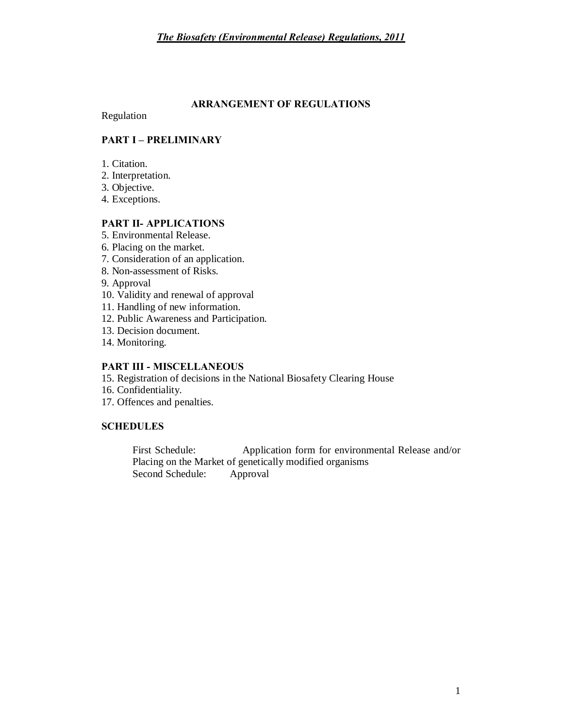#### **ARRANGEMENT OF REGULATIONS**

Regulation

### **PART I – PRELIMINARY**

- 1. Citation.
- 2. Interpretation.
- 3. Objective.
- 4. Exceptions.

## **PART II- APPLICATIONS**

- 5. Environmental Release.
- 6. Placing on the market.
- 7. Consideration of an application.
- 8. Non-assessment of Risks.
- 9. Approval
- 10. Validity and renewal of approval
- 11. Handling of new information.
- 12. Public Awareness and Participation.
- 13. Decision document.
- 14. Monitoring.

### **PART III - MISCELLANEOUS**

- 15. Registration of decisions in the National Biosafety Clearing House
- 16. Confidentiality.
- 17. Offences and penalties.

## **SCHEDULES**

First Schedule: Application form for environmental Release and/or Placing on the Market of genetically modified organisms Second Schedule: Approval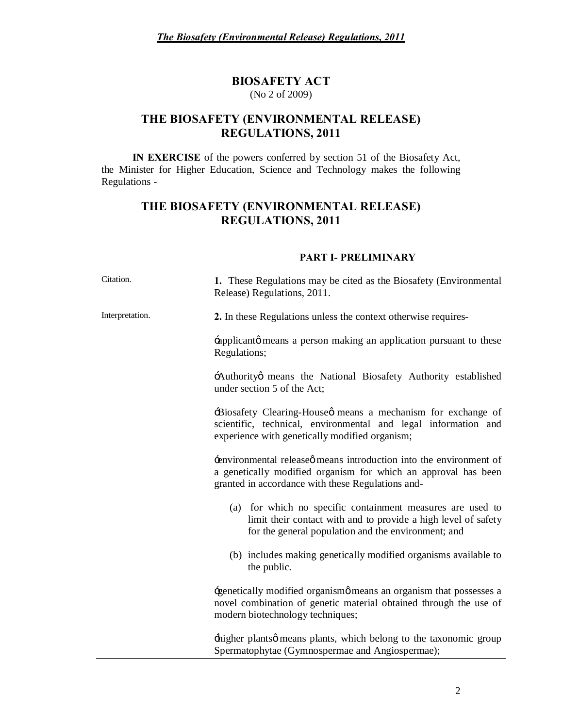#### **BIOSAFETY ACT** (No 2 of 2009)

## **THE BIOSAFETY (ENVIRONMENTAL RELEASE) REGULATIONS, 2011**

**IN EXERCISE** of the powers conferred by section 51 of the Biosafety Act, the Minister for Higher Education, Science and Technology makes the following Regulations -

# **THE BIOSAFETY (ENVIRONMENTAL RELEASE) REGULATIONS, 2011**

#### **PART I- PRELIMINARY**

| Citation.       | 1. These Regulations may be cited as the Biosafety (Environmental<br>Release) Regulations, 2011.                                                                                        |  |  |  |
|-----------------|-----------------------------------------------------------------------------------------------------------------------------------------------------------------------------------------|--|--|--|
| Interpretation. | 2. In these Regulations unless the context otherwise requires-                                                                                                                          |  |  |  |
|                 | implicant to these in person making an application pursuant to these<br>Regulations;                                                                                                    |  |  |  |
|                 | Authority means the National Biosafety Authority established<br>under section 5 of the Act;                                                                                             |  |  |  |
|                 | Biosafety Clearing-House omeans a mechanism for exchange of<br>scientific, technical, environmental and legal information and<br>experience with genetically modified organism;         |  |  |  |
|                 | environmental release means introduction into the environment of<br>a genetically modified organism for which an approval has been<br>granted in accordance with these Regulations and- |  |  |  |
|                 | (a) for which no specific containment measures are used to<br>limit their contact with and to provide a high level of safety<br>for the general population and the environment; and     |  |  |  |
|                 | (b) includes making genetically modified organisms available to<br>the public.                                                                                                          |  |  |  |
|                 | -genetically modified organismø means an organism that possesses a<br>novel combination of genetic material obtained through the use of<br>modern biotechnology techniques;             |  |  |  |
|                 | higher plants means plants, which belong to the taxonomic group<br>Spermatophytae (Gymnospermae and Angiospermae);                                                                      |  |  |  |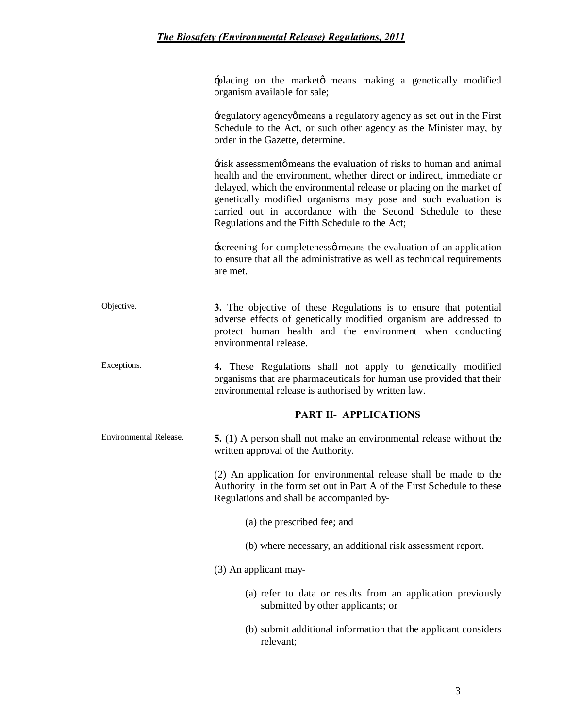+placing on the marketø means making a genetically modified organism available for sale;

'regulatory agency' means a regulatory agency as set out in the First Schedule to the Act, or such other agency as the Minister may, by order in the Gazette, determine.

'risk assessment' means the evaluation of risks to human and animal health and the environment, whether direct or indirect, immediate or delayed, which the environmental release or placing on the market of genetically modified organisms may pose and such evaluation is carried out in accordance with the Second Schedule to these Regulations and the Fifth Schedule to the Act;

\*screening for completenessø means the evaluation of an application to ensure that all the administrative as well as technical requirements are met.

| Objective.             | 3. The objective of these Regulations is to ensure that potential<br>adverse effects of genetically modified organism are addressed to<br>protect human health and the environment when conducting<br>environmental release. |
|------------------------|------------------------------------------------------------------------------------------------------------------------------------------------------------------------------------------------------------------------------|
| Exceptions.            | 4. These Regulations shall not apply to genetically modified<br>organisms that are pharmaceuticals for human use provided that their<br>environmental release is authorised by written law.                                  |
|                        | <b>PART II- APPLICATIONS</b>                                                                                                                                                                                                 |
| Environmental Release. | <b>5.</b> (1) A person shall not make an environmental release without the<br>written approval of the Authority.                                                                                                             |
|                        | (2) An application for environmental release shall be made to the<br>Authority in the form set out in Part A of the First Schedule to these<br>Regulations and shall be accompanied by-                                      |
|                        | (a) the prescribed fee; and                                                                                                                                                                                                  |
|                        | (b) where necessary, an additional risk assessment report.                                                                                                                                                                   |
|                        | (3) An applicant may-                                                                                                                                                                                                        |
|                        | (a) refer to data or results from an application previously<br>submitted by other applicants; or                                                                                                                             |
|                        | (b) submit additional information that the applicant considers<br>relevant;                                                                                                                                                  |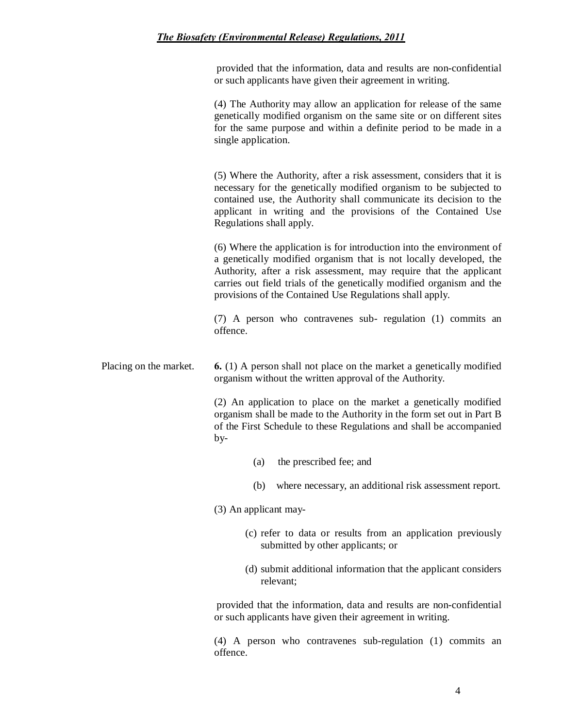provided that the information, data and results are non-confidential or such applicants have given their agreement in writing.

(4) The Authority may allow an application for release of the same genetically modified organism on the same site or on different sites for the same purpose and within a definite period to be made in a single application.

(5) Where the Authority, after a risk assessment, considers that it is necessary for the genetically modified organism to be subjected to contained use, the Authority shall communicate its decision to the applicant in writing and the provisions of the Contained Use Regulations shall apply.

(6) Where the application is for introduction into the environment of a genetically modified organism that is not locally developed, the Authority, after a risk assessment, may require that the applicant carries out field trials of the genetically modified organism and the provisions of the Contained Use Regulations shall apply.

(7) A person who contravenes sub- regulation (1) commits an offence.

Placing on the market. **6.** (1) A person shall not place on the market a genetically modified organism without the written approval of the Authority.

> (2) An application to place on the market a genetically modified organism shall be made to the Authority in the form set out in Part B of the First Schedule to these Regulations and shall be accompanied by-

- (a) the prescribed fee; and
- (b) where necessary, an additional risk assessment report.

(3) An applicant may-

- (c) refer to data or results from an application previously submitted by other applicants; or
- (d) submit additional information that the applicant considers relevant;

provided that the information, data and results are non-confidential or such applicants have given their agreement in writing.

(4) A person who contravenes sub-regulation (1) commits an offence.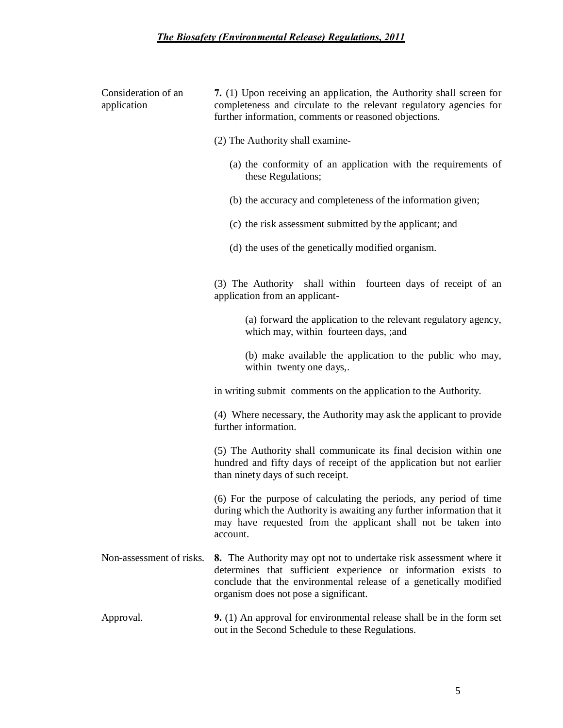|  | Consideration of an<br>application | 7. (1) Upon receiving an application, the Authority shall screen for<br>completeness and circulate to the relevant regulatory agencies for<br>further information, comments or reasoned objections.                                                |  |  |  |  |  |
|--|------------------------------------|----------------------------------------------------------------------------------------------------------------------------------------------------------------------------------------------------------------------------------------------------|--|--|--|--|--|
|  |                                    | (2) The Authority shall examine-                                                                                                                                                                                                                   |  |  |  |  |  |
|  |                                    | (a) the conformity of an application with the requirements of<br>these Regulations;                                                                                                                                                                |  |  |  |  |  |
|  |                                    | (b) the accuracy and completeness of the information given;                                                                                                                                                                                        |  |  |  |  |  |
|  |                                    | (c) the risk assessment submitted by the applicant; and                                                                                                                                                                                            |  |  |  |  |  |
|  |                                    | (d) the uses of the genetically modified organism.                                                                                                                                                                                                 |  |  |  |  |  |
|  |                                    | (3) The Authority shall within fourteen days of receipt of an<br>application from an applicant-                                                                                                                                                    |  |  |  |  |  |
|  |                                    | (a) forward the application to the relevant regulatory agency,<br>which may, within fourteen days, ; and                                                                                                                                           |  |  |  |  |  |
|  |                                    | (b) make available the application to the public who may,<br>within twenty one days,.                                                                                                                                                              |  |  |  |  |  |
|  |                                    | in writing submit comments on the application to the Authority.                                                                                                                                                                                    |  |  |  |  |  |
|  |                                    | (4) Where necessary, the Authority may ask the applicant to provide<br>further information.                                                                                                                                                        |  |  |  |  |  |
|  |                                    | (5) The Authority shall communicate its final decision within one<br>hundred and fifty days of receipt of the application but not earlier<br>than ninety days of such receipt.                                                                     |  |  |  |  |  |
|  |                                    | (6) For the purpose of calculating the periods, any period of time<br>during which the Authority is awaiting any further information that it<br>may have requested from the applicant shall not be taken into<br>account.                          |  |  |  |  |  |
|  | Non-assessment of risks.           | 8. The Authority may opt not to undertake risk assessment where it<br>determines that sufficient experience or information exists to<br>conclude that the environmental release of a genetically modified<br>organism does not pose a significant. |  |  |  |  |  |
|  | Approval.                          | <b>9.</b> (1) An approval for environmental release shall be in the form set<br>out in the Second Schedule to these Regulations.                                                                                                                   |  |  |  |  |  |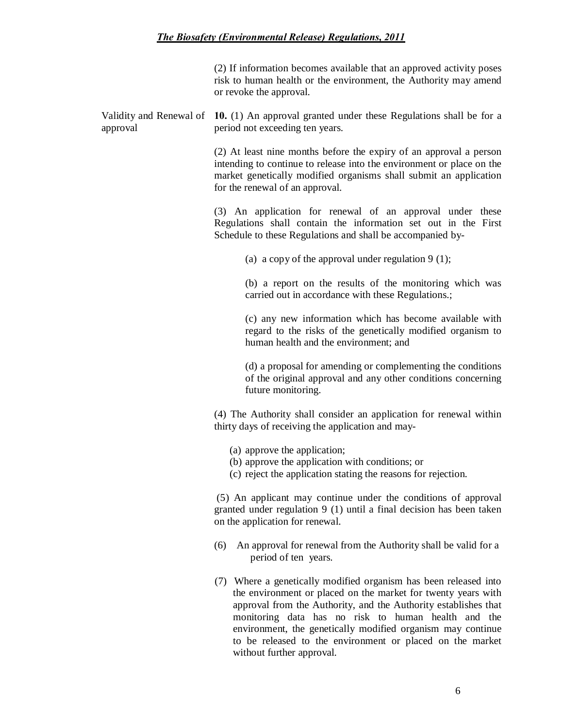(2) If information becomes available that an approved activity poses risk to human health or the environment, the Authority may amend or revoke the approval.

Validity and Renewal of **10.** (1) An approval granted under these Regulations shall be for a approval period not exceeding ten years.

> (2) At least nine months before the expiry of an approval a person intending to continue to release into the environment or place on the market genetically modified organisms shall submit an application for the renewal of an approval.

> (3) An application for renewal of an approval under these Regulations shall contain the information set out in the First Schedule to these Regulations and shall be accompanied by-

> > (a) a copy of the approval under regulation  $9(1)$ ;

(b) a report on the results of the monitoring which was carried out in accordance with these Regulations.;

(c) any new information which has become available with regard to the risks of the genetically modified organism to human health and the environment; and

(d) a proposal for amending or complementing the conditions of the original approval and any other conditions concerning future monitoring.

(4) The Authority shall consider an application for renewal within thirty days of receiving the application and may-

- (a) approve the application;
- (b) approve the application with conditions; or
- (c) reject the application stating the reasons for rejection.

(5) An applicant may continue under the conditions of approval granted under regulation 9 (1) until a final decision has been taken on the application for renewal.

- (6) An approval for renewal from the Authority shall be valid for a period of ten years.
- (7) Where a genetically modified organism has been released into the environment or placed on the market for twenty years with approval from the Authority, and the Authority establishes that monitoring data has no risk to human health and the environment, the genetically modified organism may continue to be released to the environment or placed on the market without further approval.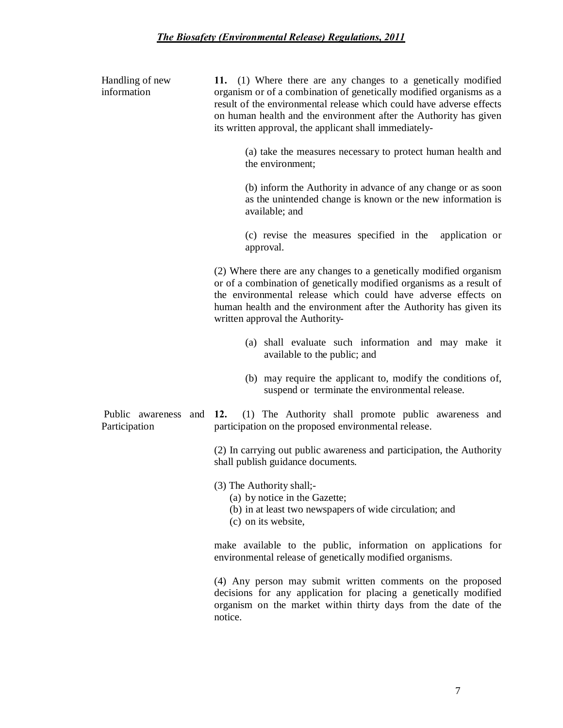| Handling of new<br>information        |                                                                                                                           | 11. (1) Where there are any changes to a genetically modified<br>organism or of a combination of genetically modified organisms as a<br>result of the environmental release which could have adverse effects<br>on human health and the environment after the Authority has given<br>its written approval, the applicant shall immediately- |
|---------------------------------------|---------------------------------------------------------------------------------------------------------------------------|---------------------------------------------------------------------------------------------------------------------------------------------------------------------------------------------------------------------------------------------------------------------------------------------------------------------------------------------|
|                                       |                                                                                                                           | (a) take the measures necessary to protect human health and<br>the environment;                                                                                                                                                                                                                                                             |
|                                       |                                                                                                                           | (b) inform the Authority in advance of any change or as soon<br>as the unintended change is known or the new information is<br>available; and                                                                                                                                                                                               |
|                                       |                                                                                                                           | (c) revise the measures specified in the<br>application or<br>approval.                                                                                                                                                                                                                                                                     |
|                                       |                                                                                                                           | (2) Where there are any changes to a genetically modified organism<br>or of a combination of genetically modified organisms as a result of<br>the environmental release which could have adverse effects on<br>human health and the environment after the Authority has given its<br>written approval the Authority-                        |
|                                       |                                                                                                                           | (a) shall evaluate such information and may make it<br>available to the public; and                                                                                                                                                                                                                                                         |
|                                       |                                                                                                                           | (b) may require the applicant to, modify the conditions of,<br>suspend or terminate the environmental release.                                                                                                                                                                                                                              |
| Public awareness and<br>Participation |                                                                                                                           | (1) The Authority shall promote public awareness and<br>12.<br>participation on the proposed environmental release.                                                                                                                                                                                                                         |
|                                       |                                                                                                                           | (2) In carrying out public awareness and participation, the Authority<br>shall publish guidance documents.                                                                                                                                                                                                                                  |
|                                       |                                                                                                                           | (3) The Authority shall;-<br>(a) by notice in the Gazette;<br>(b) in at least two newspapers of wide circulation; and<br>(c) on its website,                                                                                                                                                                                                |
|                                       | make available to the public, information on applications for<br>environmental release of genetically modified organisms. |                                                                                                                                                                                                                                                                                                                                             |
|                                       |                                                                                                                           | (4) Any person may submit written comments on the proposed<br>decisions for any application for placing a genetically modified                                                                                                                                                                                                              |

notice.

organism on the market within thirty days from the date of the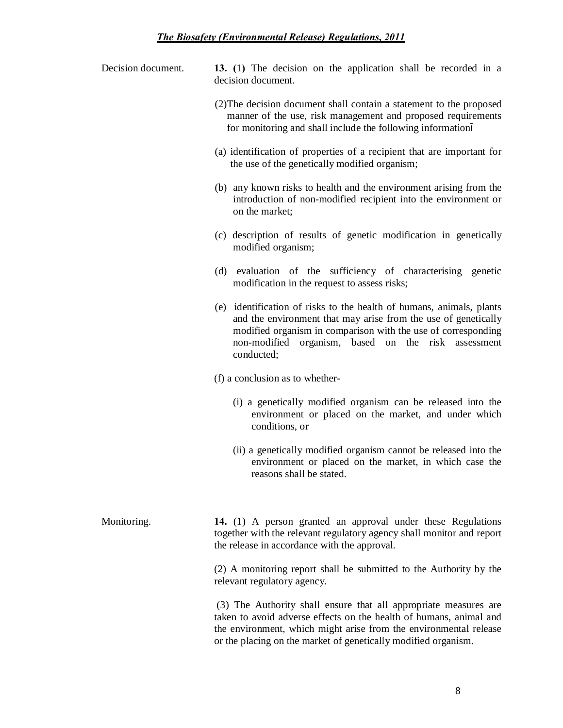| Decision document. |                    |  |  | 13. (1) The decision on the application shall be recorded in a |  |  |  |
|--------------------|--------------------|--|--|----------------------------------------------------------------|--|--|--|
|                    | decision document. |  |  |                                                                |  |  |  |

- (2)The decision document shall contain a statement to the proposed manner of the use, risk management and proposed requirements for monitoring and shall include the following information
- (a) identification of properties of a recipient that are important for the use of the genetically modified organism;
- (b) any known risks to health and the environment arising from the introduction of non-modified recipient into the environment or on the market;
- (c) description of results of genetic modification in genetically modified organism;
- (d) evaluation of the sufficiency of characterising genetic modification in the request to assess risks;
- (e) identification of risks to the health of humans, animals, plants and the environment that may arise from the use of genetically modified organism in comparison with the use of corresponding non-modified organism, based on the risk assessment conducted;

(f) a conclusion as to whether-

- (i) a genetically modified organism can be released into the environment or placed on the market, and under which conditions, or
- (ii) a genetically modified organism cannot be released into the environment or placed on the market, in which case the reasons shall be stated.

Monitoring. **14.** (1) A person granted an approval under these Regulations together with the relevant regulatory agency shall monitor and report the release in accordance with the approval.

> (2) A monitoring report shall be submitted to the Authority by the relevant regulatory agency.

> (3) The Authority shall ensure that all appropriate measures are taken to avoid adverse effects on the health of humans, animal and the environment, which might arise from the environmental release or the placing on the market of genetically modified organism.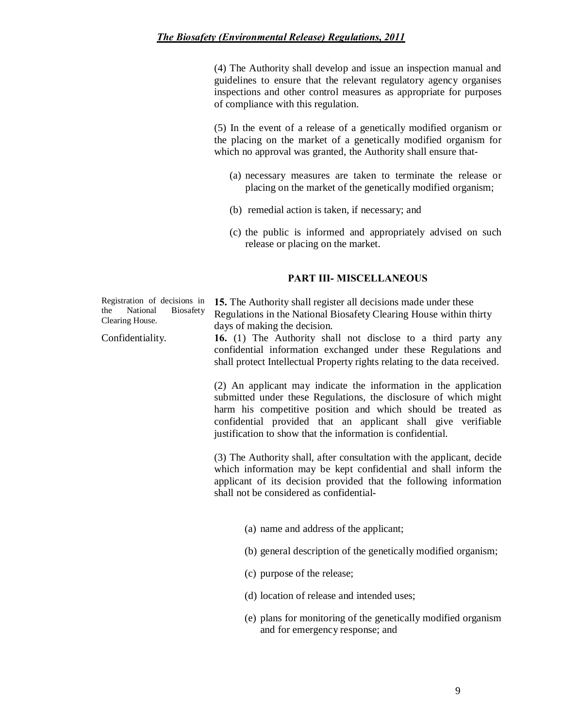(4) The Authority shall develop and issue an inspection manual and guidelines to ensure that the relevant regulatory agency organises inspections and other control measures as appropriate for purposes of compliance with this regulation.

(5) In the event of a release of a genetically modified organism or the placing on the market of a genetically modified organism for which no approval was granted, the Authority shall ensure that-

- (a) necessary measures are taken to terminate the release or placing on the market of the genetically modified organism;
- (b) remedial action is taken, if necessary; and
- (c) the public is informed and appropriately advised on such release or placing on the market.

#### **PART III- MISCELLANEOUS**

| Registration of decisions in<br>the<br>National<br>Biosafety<br>Clearing House. | 15. The Authority shall register all decisions made under these<br>Regulations in the National Biosafety Clearing House within thirty<br>days of making the decision.                                        |
|---------------------------------------------------------------------------------|--------------------------------------------------------------------------------------------------------------------------------------------------------------------------------------------------------------|
| Confidentiality.                                                                | 16. (1) The Authority shall not disclose to a third party any<br>confidential information exchanged under these Regulations and<br>shall protect Intellectual Property rights relating to the data received. |
|                                                                                 | (2) An applicant may indicate the information in the application<br>submitted under these Regulations, the disclosure of which might                                                                         |

harm his competitive position and which should be treated as confidential provided that an applicant shall give verifiable justification to show that the information is confidential.

(3) The Authority shall, after consultation with the applicant, decide which information may be kept confidential and shall inform the applicant of its decision provided that the following information shall not be considered as confidential-

- (a) name and address of the applicant;
- (b) general description of the genetically modified organism;
- (c) purpose of the release;
- (d) location of release and intended uses;
- (e) plans for monitoring of the genetically modified organism and for emergency response; and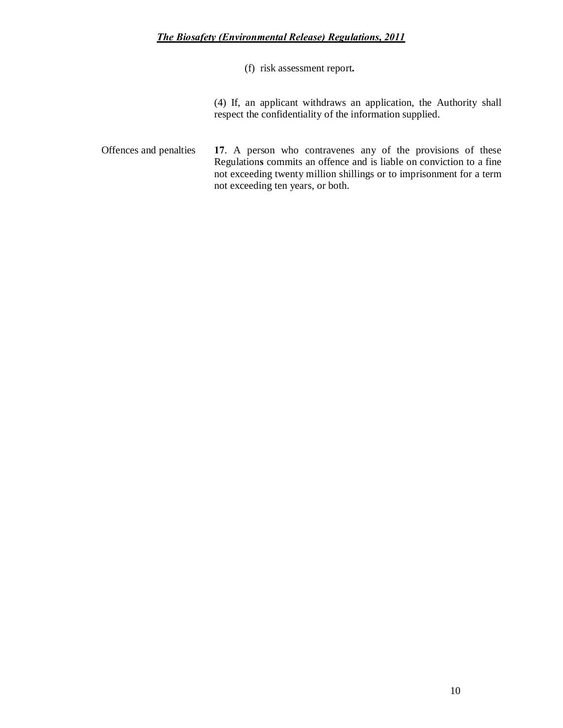(f) risk assessment report**.**

(4) If, an applicant withdraws an application, the Authority shall respect the confidentiality of the information supplied.

Offences and penalties **17**. A person who contravenes any of the provisions of these Regulation**s** commits an offence and is liable on conviction to a fine not exceeding twenty million shillings or to imprisonment for a term not exceeding ten years, or both.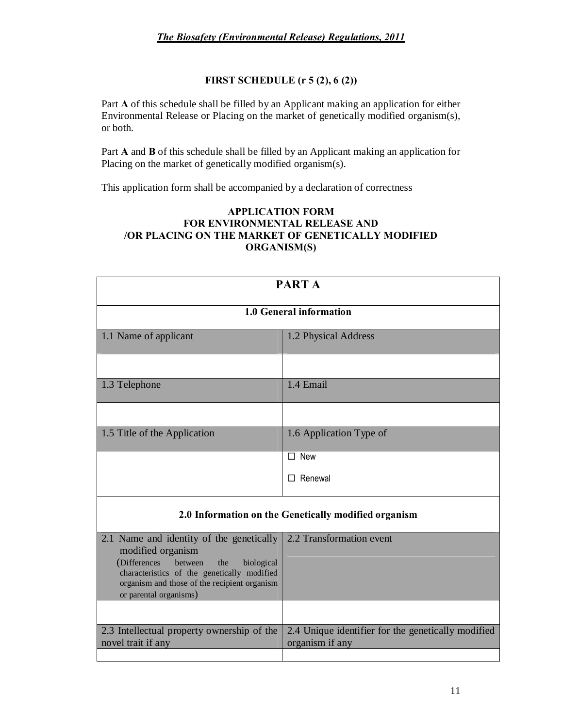### **FIRST SCHEDULE (r 5 (2), 6 (2))**

Part **A** of this schedule shall be filled by an Applicant making an application for either Environmental Release or Placing on the market of genetically modified organism(s), or both.

Part **A** and **B** of this schedule shall be filled by an Applicant making an application for Placing on the market of genetically modified organism(s).

This application form shall be accompanied by a declaration of correctness

### **APPLICATION FORM FOR ENVIRONMENTAL RELEASE AND /OR PLACING ON THE MARKET OF GENETICALLY MODIFIED ORGANISM(S)**

| <b>PARTA</b>                                                                                                                                                                                                                                                       |                                                      |  |  |
|--------------------------------------------------------------------------------------------------------------------------------------------------------------------------------------------------------------------------------------------------------------------|------------------------------------------------------|--|--|
| 1.0 General information                                                                                                                                                                                                                                            |                                                      |  |  |
| 1.1 Name of applicant<br>1.2 Physical Address                                                                                                                                                                                                                      |                                                      |  |  |
|                                                                                                                                                                                                                                                                    |                                                      |  |  |
| 1.3 Telephone                                                                                                                                                                                                                                                      | 1.4 Email                                            |  |  |
|                                                                                                                                                                                                                                                                    |                                                      |  |  |
| 1.5 Title of the Application                                                                                                                                                                                                                                       | 1.6 Application Type of                              |  |  |
|                                                                                                                                                                                                                                                                    | $\Box$ New                                           |  |  |
|                                                                                                                                                                                                                                                                    | Renewal                                              |  |  |
|                                                                                                                                                                                                                                                                    | 2.0 Information on the Genetically modified organism |  |  |
| 2.2 Transformation event<br>2.1 Name and identity of the genetically<br>modified organism<br>(Differences<br>between<br>the<br>biological<br>characteristics of the genetically modified<br>organism and those of the recipient organism<br>or parental organisms) |                                                      |  |  |
|                                                                                                                                                                                                                                                                    |                                                      |  |  |
| 2.3 Intellectual property ownership of the<br>2.4 Unique identifier for the genetically modified<br>organism if any<br>novel trait if any                                                                                                                          |                                                      |  |  |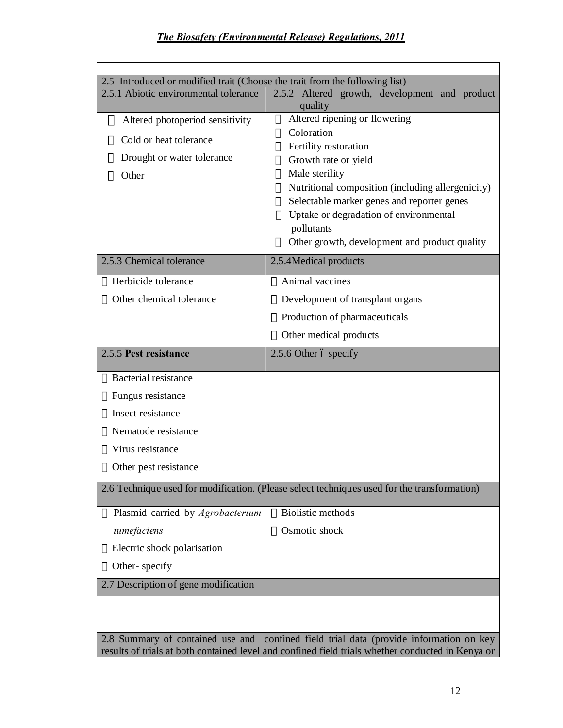| 2.5 Introduced or modified trait (Choose the trait from the following list)                                                                                                                 |                                                                                      |  |  |  |
|---------------------------------------------------------------------------------------------------------------------------------------------------------------------------------------------|--------------------------------------------------------------------------------------|--|--|--|
| 2.5.1 Abiotic environmental tolerance                                                                                                                                                       | 2.5.2 Altered growth, development and product                                        |  |  |  |
|                                                                                                                                                                                             | quality                                                                              |  |  |  |
| Altered photoperiod sensitivity                                                                                                                                                             | Altered ripening or flowering<br>Coloration                                          |  |  |  |
| Cold or heat tolerance                                                                                                                                                                      | Fertility restoration                                                                |  |  |  |
| Drought or water tolerance                                                                                                                                                                  | Growth rate or yield                                                                 |  |  |  |
| Other                                                                                                                                                                                       | Male sterility                                                                       |  |  |  |
|                                                                                                                                                                                             | Nutritional composition (including allergenicity)                                    |  |  |  |
|                                                                                                                                                                                             | Selectable marker genes and reporter genes<br>Uptake or degradation of environmental |  |  |  |
|                                                                                                                                                                                             | pollutants                                                                           |  |  |  |
|                                                                                                                                                                                             | Other growth, development and product quality                                        |  |  |  |
| 2.5.3 Chemical tolerance                                                                                                                                                                    | 2.5.4Medical products                                                                |  |  |  |
| Herbicide tolerance                                                                                                                                                                         | Animal vaccines                                                                      |  |  |  |
| Other chemical tolerance                                                                                                                                                                    | Development of transplant organs                                                     |  |  |  |
|                                                                                                                                                                                             | Production of pharmaceuticals                                                        |  |  |  |
|                                                                                                                                                                                             | Other medical products                                                               |  |  |  |
| 2.5.5 Pest resistance                                                                                                                                                                       | 2.5.6 Other ó specify                                                                |  |  |  |
| Bacterial resistance                                                                                                                                                                        |                                                                                      |  |  |  |
| Fungus resistance                                                                                                                                                                           |                                                                                      |  |  |  |
| Insect resistance                                                                                                                                                                           |                                                                                      |  |  |  |
| Nematode resistance                                                                                                                                                                         |                                                                                      |  |  |  |
| Virus resistance                                                                                                                                                                            |                                                                                      |  |  |  |
| Other pest resistance                                                                                                                                                                       |                                                                                      |  |  |  |
| 2.6 Technique used for modification. (Please select techniques used for the transformation)                                                                                                 |                                                                                      |  |  |  |
| Plasmid carried by <i>Agrobacterium</i>                                                                                                                                                     | <b>Biolistic methods</b>                                                             |  |  |  |
| tumefaciens                                                                                                                                                                                 | Osmotic shock                                                                        |  |  |  |
| Electric shock polarisation                                                                                                                                                                 |                                                                                      |  |  |  |
| Other-specify                                                                                                                                                                               |                                                                                      |  |  |  |
| 2.7 Description of gene modification                                                                                                                                                        |                                                                                      |  |  |  |
|                                                                                                                                                                                             |                                                                                      |  |  |  |
| 2.8 Summary of contained use and confined field trial data (provide information on key<br>results of trials at both contained level and confined field trials whether conducted in Kenya or |                                                                                      |  |  |  |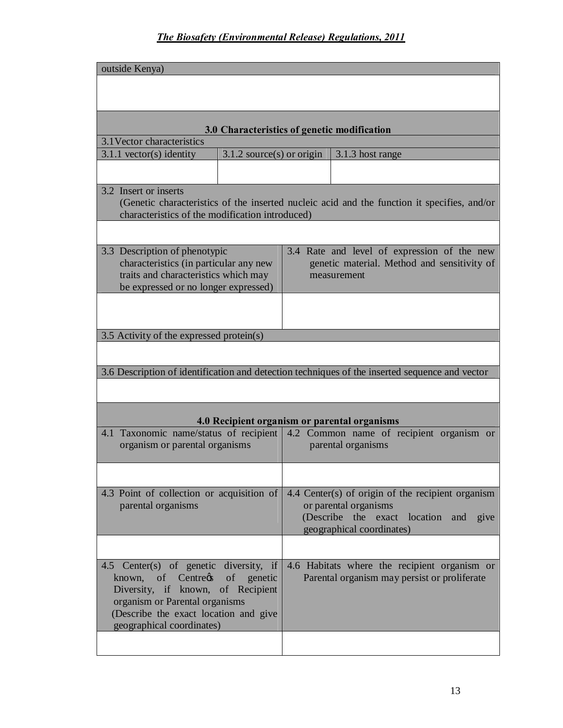| outside Kenya)                                                                                                                                                                                                       |                             |                                                                                                                                             |      |
|----------------------------------------------------------------------------------------------------------------------------------------------------------------------------------------------------------------------|-----------------------------|---------------------------------------------------------------------------------------------------------------------------------------------|------|
|                                                                                                                                                                                                                      |                             |                                                                                                                                             |      |
|                                                                                                                                                                                                                      |                             | 3.0 Characteristics of genetic modification                                                                                                 |      |
| 3.1 Vector characteristics                                                                                                                                                                                           |                             |                                                                                                                                             |      |
| $3.1.1$ vector(s) identity                                                                                                                                                                                           | $3.1.2$ source(s) or origin | 3.1.3 host range                                                                                                                            |      |
|                                                                                                                                                                                                                      |                             |                                                                                                                                             |      |
| 3.2 Insert or inserts<br>characteristics of the modification introduced)                                                                                                                                             |                             | (Genetic characteristics of the inserted nucleic acid and the function it specifies, and/or                                                 |      |
|                                                                                                                                                                                                                      |                             |                                                                                                                                             |      |
| 3.3 Description of phenotypic<br>characteristics (in particular any new<br>traits and characteristics which may<br>be expressed or no longer expressed)                                                              |                             | 3.4 Rate and level of expression of the new<br>genetic material. Method and sensitivity of<br>measurement                                   |      |
|                                                                                                                                                                                                                      |                             |                                                                                                                                             |      |
| 3.5 Activity of the expressed protein(s)                                                                                                                                                                             |                             |                                                                                                                                             |      |
|                                                                                                                                                                                                                      |                             |                                                                                                                                             |      |
|                                                                                                                                                                                                                      |                             | 3.6 Description of identification and detection techniques of the inserted sequence and vector                                              |      |
|                                                                                                                                                                                                                      |                             |                                                                                                                                             |      |
|                                                                                                                                                                                                                      |                             | 4.0 Recipient organism or parental organisms                                                                                                |      |
| 4.1 Taxonomic name/status of recipient<br>organism or parental organisms                                                                                                                                             |                             | 4.2 Common name of recipient organism or<br>parental organisms                                                                              |      |
|                                                                                                                                                                                                                      |                             |                                                                                                                                             |      |
| 4.3 Point of collection or acquisition of<br>parental organisms                                                                                                                                                      |                             | 4.4 Center(s) of origin of the recipient organism<br>or parental organisms<br>(Describe the exact location and<br>geographical coordinates) | give |
|                                                                                                                                                                                                                      |                             |                                                                                                                                             |      |
| 4.5 Center(s) of genetic diversity, if<br>known, of Centregs of genetic<br>Diversity, if known, of Recipient<br>organism or Parental organisms<br>(Describe the exact location and give<br>geographical coordinates) |                             | 4.6 Habitats where the recipient organism or<br>Parental organism may persist or proliferate                                                |      |
|                                                                                                                                                                                                                      |                             |                                                                                                                                             |      |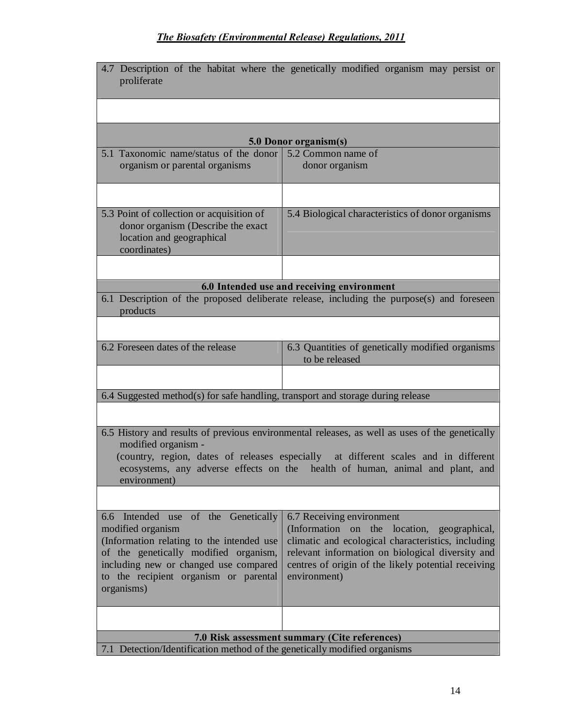| 4.7 Description of the habitat where the genetically modified organism may persist or<br>proliferate                                                                                                                                                                                                                                                                                                                                                                                                           |                                                                                           |  |  |  |  |
|----------------------------------------------------------------------------------------------------------------------------------------------------------------------------------------------------------------------------------------------------------------------------------------------------------------------------------------------------------------------------------------------------------------------------------------------------------------------------------------------------------------|-------------------------------------------------------------------------------------------|--|--|--|--|
|                                                                                                                                                                                                                                                                                                                                                                                                                                                                                                                |                                                                                           |  |  |  |  |
|                                                                                                                                                                                                                                                                                                                                                                                                                                                                                                                | 5.0 Donor organism(s)                                                                     |  |  |  |  |
| 5.1 Taxonomic name/status of the donor 5.2 Common name of<br>organism or parental organisms                                                                                                                                                                                                                                                                                                                                                                                                                    | donor organism                                                                            |  |  |  |  |
|                                                                                                                                                                                                                                                                                                                                                                                                                                                                                                                |                                                                                           |  |  |  |  |
| 5.3 Point of collection or acquisition of<br>donor organism (Describe the exact<br>location and geographical<br>coordinates)                                                                                                                                                                                                                                                                                                                                                                                   | 5.4 Biological characteristics of donor organisms                                         |  |  |  |  |
|                                                                                                                                                                                                                                                                                                                                                                                                                                                                                                                |                                                                                           |  |  |  |  |
|                                                                                                                                                                                                                                                                                                                                                                                                                                                                                                                | 6.0 Intended use and receiving environment                                                |  |  |  |  |
| products                                                                                                                                                                                                                                                                                                                                                                                                                                                                                                       | 6.1 Description of the proposed deliberate release, including the purpose(s) and foreseen |  |  |  |  |
|                                                                                                                                                                                                                                                                                                                                                                                                                                                                                                                |                                                                                           |  |  |  |  |
| 6.2 Foreseen dates of the release                                                                                                                                                                                                                                                                                                                                                                                                                                                                              | 6.3 Quantities of genetically modified organisms<br>to be released                        |  |  |  |  |
|                                                                                                                                                                                                                                                                                                                                                                                                                                                                                                                |                                                                                           |  |  |  |  |
| 6.4 Suggested method(s) for safe handling, transport and storage during release                                                                                                                                                                                                                                                                                                                                                                                                                                |                                                                                           |  |  |  |  |
|                                                                                                                                                                                                                                                                                                                                                                                                                                                                                                                |                                                                                           |  |  |  |  |
| 6.5 History and results of previous environmental releases, as well as uses of the genetically<br>modified organism -<br>(country, region, dates of releases especially at different scales and in different<br>ecosystems, any adverse effects on the health of human, animal and plant, and<br>environment)                                                                                                                                                                                                  |                                                                                           |  |  |  |  |
|                                                                                                                                                                                                                                                                                                                                                                                                                                                                                                                |                                                                                           |  |  |  |  |
| 6.6 Intended use of the Genetically<br>6.7 Receiving environment<br>(Information on the<br>modified organism<br>location, geographical,<br>(Information relating to the intended use<br>climatic and ecological characteristics, including<br>of the genetically modified organism,<br>relevant information on biological diversity and<br>including new or changed use compared<br>centres of origin of the likely potential receiving<br>to the recipient organism or parental<br>environment)<br>organisms) |                                                                                           |  |  |  |  |
|                                                                                                                                                                                                                                                                                                                                                                                                                                                                                                                |                                                                                           |  |  |  |  |
| 7.1 Detection/Identification method of the genetically modified organisms                                                                                                                                                                                                                                                                                                                                                                                                                                      | 7.0 Risk assessment summary (Cite references)                                             |  |  |  |  |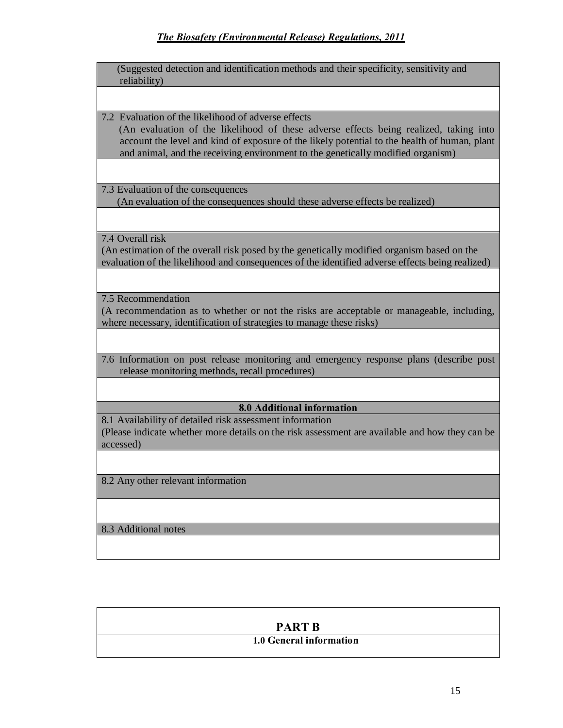|              |  |  | (Suggested detection and identification methods and their specificity, sensitivity and |
|--------------|--|--|----------------------------------------------------------------------------------------|
| reliability) |  |  |                                                                                        |

7.2 Evaluation of the likelihood of adverse effects

 (An evaluation of the likelihood of these adverse effects being realized, taking into account the level and kind of exposure of the likely potential to the health of human, plant and animal, and the receiving environment to the genetically modified organism)

7.3 Evaluation of the consequences

(An evaluation of the consequences should these adverse effects be realized)

7.4 Overall risk

(An estimation of the overall risk posed by the genetically modified organism based on the evaluation of the likelihood and consequences of the identified adverse effects being realized)

7.5 Recommendation

(A recommendation as to whether or not the risks are acceptable or manageable, including, where necessary, identification of strategies to manage these risks)

7.6 Information on post release monitoring and emergency response plans (describe post release monitoring methods, recall procedures)

### **8.0 Additional information**

8.1 Availability of detailed risk assessment information (Please indicate whether more details on the risk assessment are available and how they can be accessed)

8.2 Any other relevant information

8.3 Additional notes

#### **PART B**

### **1.0 General information**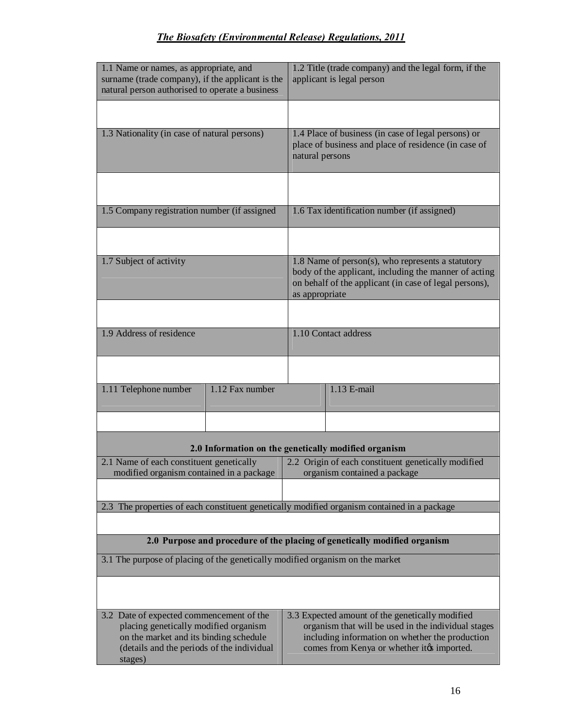| 1.1 Name or names, as appropriate, and<br>surname (trade company), if the applicant is the<br>natural person authorised to operate a business                                        | 1.2 Title (trade company) and the legal form, if the<br>applicant is legal person                                                                                                                        |  |  |  |
|--------------------------------------------------------------------------------------------------------------------------------------------------------------------------------------|----------------------------------------------------------------------------------------------------------------------------------------------------------------------------------------------------------|--|--|--|
|                                                                                                                                                                                      |                                                                                                                                                                                                          |  |  |  |
| 1.3 Nationality (in case of natural persons)                                                                                                                                         | 1.4 Place of business (in case of legal persons) or<br>place of business and place of residence (in case of<br>natural persons                                                                           |  |  |  |
|                                                                                                                                                                                      |                                                                                                                                                                                                          |  |  |  |
| 1.5 Company registration number (if assigned                                                                                                                                         | 1.6 Tax identification number (if assigned)                                                                                                                                                              |  |  |  |
|                                                                                                                                                                                      |                                                                                                                                                                                                          |  |  |  |
| 1.7 Subject of activity                                                                                                                                                              | 1.8 Name of person(s), who represents a statutory<br>body of the applicant, including the manner of acting<br>on behalf of the applicant (in case of legal persons),<br>as appropriate                   |  |  |  |
|                                                                                                                                                                                      |                                                                                                                                                                                                          |  |  |  |
| 1.9 Address of residence                                                                                                                                                             | 1.10 Contact address                                                                                                                                                                                     |  |  |  |
|                                                                                                                                                                                      |                                                                                                                                                                                                          |  |  |  |
| 1.12 Fax number<br>1.11 Telephone number                                                                                                                                             | 1.13 E-mail                                                                                                                                                                                              |  |  |  |
|                                                                                                                                                                                      |                                                                                                                                                                                                          |  |  |  |
|                                                                                                                                                                                      | 2.0 Information on the genetically modified organism                                                                                                                                                     |  |  |  |
| 2.1 Name of each constituent genetically<br>modified organism contained in a package                                                                                                 | 2.2 Origin of each constituent genetically modified<br>organism contained a package                                                                                                                      |  |  |  |
|                                                                                                                                                                                      |                                                                                                                                                                                                          |  |  |  |
| 2.3 The properties of each constituent genetically modified organism contained in a package                                                                                          |                                                                                                                                                                                                          |  |  |  |
|                                                                                                                                                                                      | 2.0 Purpose and procedure of the placing of genetically modified organism                                                                                                                                |  |  |  |
| 3.1 The purpose of placing of the genetically modified organism on the market                                                                                                        |                                                                                                                                                                                                          |  |  |  |
|                                                                                                                                                                                      |                                                                                                                                                                                                          |  |  |  |
| 3.2 Date of expected commencement of the<br>placing genetically modified organism<br>on the market and its binding schedule<br>(details and the periods of the individual<br>stages) | 3.3 Expected amount of the genetically modified<br>organism that will be used in the individual stages<br>including information on whether the production<br>comes from Kenya or whether it is imported. |  |  |  |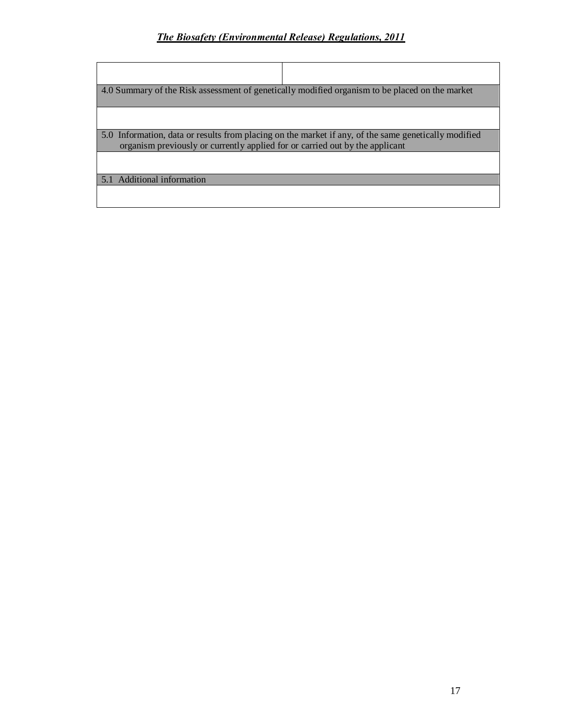| 4.0 Summary of the Risk assessment of genetically modified organism to be placed on the market                                                                                       |  |  |  |
|--------------------------------------------------------------------------------------------------------------------------------------------------------------------------------------|--|--|--|
|                                                                                                                                                                                      |  |  |  |
| 5.0 Information, data or results from placing on the market if any, of the same genetically modified<br>organism previously or currently applied for or carried out by the applicant |  |  |  |
|                                                                                                                                                                                      |  |  |  |
| 5.1 Additional information                                                                                                                                                           |  |  |  |
|                                                                                                                                                                                      |  |  |  |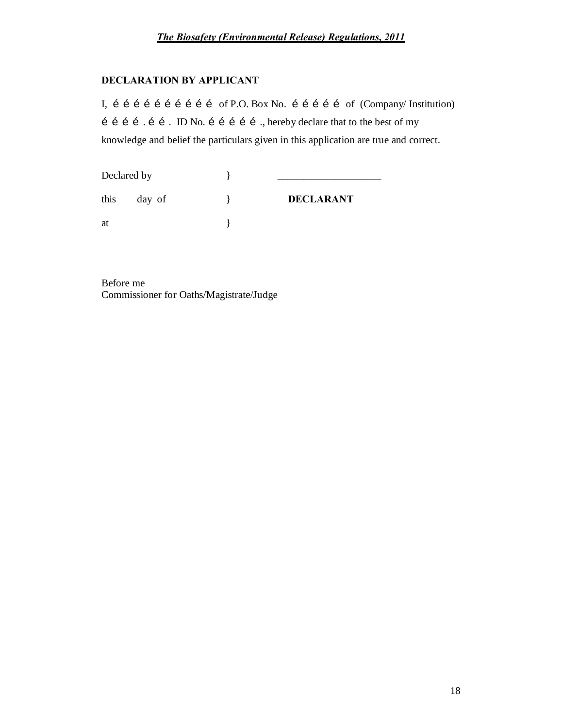### **DECLARATION BY APPLICANT**

I, i i i i i i i i i i of P.O. Box No. i i i i i of (Company/ Institution)  $\mathbf{i}$   $\mathbf{i}$   $\mathbf{j}$   $\mathbf{j}$   $\mathbf{k}$   $\mathbf{k}$   $\mathbf{k}$   $\mathbf{k}$   $\mathbf{k}$   $\mathbf{k}$   $\mathbf{k}$   $\mathbf{k}$   $\mathbf{k}$   $\mathbf{k}$   $\mathbf{k}$   $\mathbf{k}$   $\mathbf{k}$   $\mathbf{k}$   $\mathbf{k}$   $\mathbf{k}$   $\mathbf{k}$   $\mathbf{k}$   $\mathbf{k}$   $\mathbf{k}$   $\mathbf{k}$   $\mathbf{k}$   $\mathbf{k}$   $\mathbf{k$ knowledge and belief the particulars given in this application are true and correct.

| Declared by |        |                  |
|-------------|--------|------------------|
| this        | day of | <b>DECLARANT</b> |
| at          |        |                  |

Before me Commissioner for Oaths/Magistrate/Judge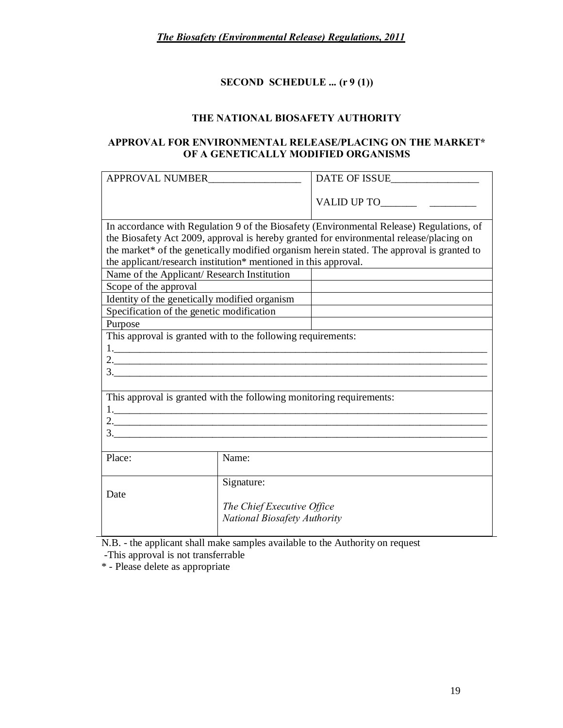## **SECOND SCHEDULE ... (r 9 (1))**

### **THE NATIONAL BIOSAFETY AUTHORITY**

#### **APPROVAL FOR ENVIRONMENTAL RELEASE/PLACING ON THE MARKET\* OF A GENETICALLY MODIFIED ORGANISMS**

| APPROVAL NUMBER                                                                                                                                                                                                                                                                                                                                                                                                              |                            | DATE OF ISSUE |  |  |  |
|------------------------------------------------------------------------------------------------------------------------------------------------------------------------------------------------------------------------------------------------------------------------------------------------------------------------------------------------------------------------------------------------------------------------------|----------------------------|---------------|--|--|--|
|                                                                                                                                                                                                                                                                                                                                                                                                                              |                            |               |  |  |  |
| In accordance with Regulation 9 of the Biosafety (Environmental Release) Regulations, of<br>the Biosafety Act 2009, approval is hereby granted for environmental release/placing on<br>the market* of the genetically modified organism herein stated. The approval is granted to<br>the applicant/research institution* mentioned in this approval.<br>Name of the Applicant/ Research Institution<br>Scope of the approval |                            |               |  |  |  |
| Identity of the genetically modified organism                                                                                                                                                                                                                                                                                                                                                                                |                            |               |  |  |  |
| Specification of the genetic modification                                                                                                                                                                                                                                                                                                                                                                                    |                            |               |  |  |  |
| Purpose                                                                                                                                                                                                                                                                                                                                                                                                                      |                            |               |  |  |  |
| This approval is granted with to the following requirements:                                                                                                                                                                                                                                                                                                                                                                 |                            |               |  |  |  |
|                                                                                                                                                                                                                                                                                                                                                                                                                              |                            |               |  |  |  |
|                                                                                                                                                                                                                                                                                                                                                                                                                              |                            |               |  |  |  |
|                                                                                                                                                                                                                                                                                                                                                                                                                              |                            |               |  |  |  |
|                                                                                                                                                                                                                                                                                                                                                                                                                              |                            |               |  |  |  |
| This approval is granted with the following monitoring requirements:                                                                                                                                                                                                                                                                                                                                                         |                            |               |  |  |  |
|                                                                                                                                                                                                                                                                                                                                                                                                                              |                            |               |  |  |  |
|                                                                                                                                                                                                                                                                                                                                                                                                                              |                            |               |  |  |  |
| $3.$ $\overline{\phantom{a}}$                                                                                                                                                                                                                                                                                                                                                                                                |                            |               |  |  |  |
|                                                                                                                                                                                                                                                                                                                                                                                                                              |                            |               |  |  |  |
| Place:                                                                                                                                                                                                                                                                                                                                                                                                                       | Name:                      |               |  |  |  |
|                                                                                                                                                                                                                                                                                                                                                                                                                              |                            |               |  |  |  |
| Signature:                                                                                                                                                                                                                                                                                                                                                                                                                   |                            |               |  |  |  |
| Date                                                                                                                                                                                                                                                                                                                                                                                                                         |                            |               |  |  |  |
|                                                                                                                                                                                                                                                                                                                                                                                                                              | The Chief Executive Office |               |  |  |  |
| National Biosafety Authority                                                                                                                                                                                                                                                                                                                                                                                                 |                            |               |  |  |  |
|                                                                                                                                                                                                                                                                                                                                                                                                                              |                            |               |  |  |  |

N.B. - the applicant shall make samples available to the Authority on request

-This approval is not transferrable

\* - Please delete as appropriate